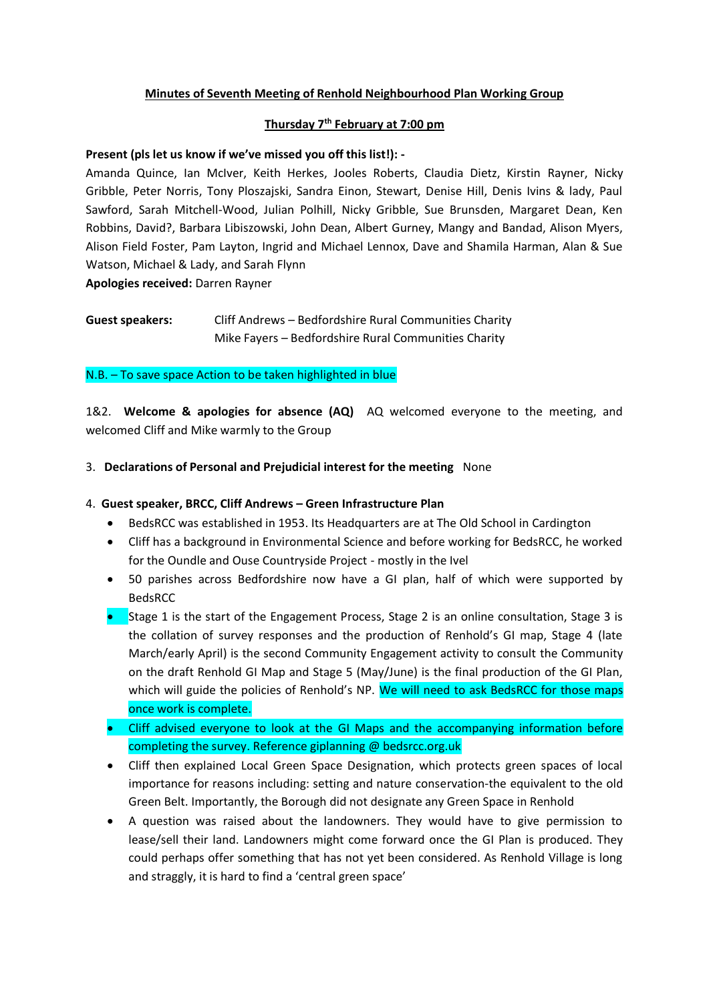# **Minutes of Seventh Meeting of Renhold Neighbourhood Plan Working Group**

### **Thursday 7th February at 7:00 pm**

#### **Present (pls let us know if we've missed you off this list!): -**

Amanda Quince, Ian McIver, Keith Herkes, Jooles Roberts, Claudia Dietz, Kirstin Rayner, Nicky Gribble, Peter Norris, Tony Ploszajski, Sandra Einon, Stewart, Denise Hill, Denis Ivins & lady, Paul Sawford, Sarah Mitchell-Wood, Julian Polhill, Nicky Gribble, Sue Brunsden, Margaret Dean, Ken Robbins, David?, Barbara Libiszowski, John Dean, Albert Gurney, Mangy and Bandad, Alison Myers, Alison Field Foster, Pam Layton, Ingrid and Michael Lennox, Dave and Shamila Harman, Alan & Sue Watson, Michael & Lady, and Sarah Flynn

**Apologies received:** Darren Rayner

**Guest speakers:** Cliff Andrews – Bedfordshire Rural Communities Charity Mike Fayers – Bedfordshire Rural Communities Charity

#### N.B. – To save space Action to be taken highlighted in blue

1&2. **Welcome & apologies for absence (AQ)** AQ welcomed everyone to the meeting, and welcomed Cliff and Mike warmly to the Group

## 3. **Declarations of Personal and Prejudicial interest for the meeting** None

# 4. **Guest speaker, BRCC, Cliff Andrews – Green Infrastructure Plan**

- BedsRCC was established in 1953. Its Headquarters are at The Old School in Cardington
- Cliff has a background in Environmental Science and before working for BedsRCC, he worked for the Oundle and Ouse Countryside Project - mostly in the Ivel
- 50 parishes across Bedfordshire now have a GI plan, half of which were supported by BedsRCC
- Stage 1 is the start of the Engagement Process, Stage 2 is an online consultation, Stage 3 is the collation of survey responses and the production of Renhold's GI map, Stage 4 (late March/early April) is the second Community Engagement activity to consult the Community on the draft Renhold GI Map and Stage 5 (May/June) is the final production of the GI Plan, which will guide the policies of Renhold's NP. We will need to ask BedsRCC for those maps once work is complete.
- Cliff advised everyone to look at the GI Maps and the accompanying information before completing the survey. Reference giplanning @ bedsrcc.org.uk
- Cliff then explained Local Green Space Designation, which protects green spaces of local importance for reasons including: setting and nature conservation-the equivalent to the old Green Belt. Importantly, the Borough did not designate any Green Space in Renhold
- A question was raised about the landowners. They would have to give permission to lease/sell their land. Landowners might come forward once the GI Plan is produced. They could perhaps offer something that has not yet been considered. As Renhold Village is long and straggly, it is hard to find a 'central green space'